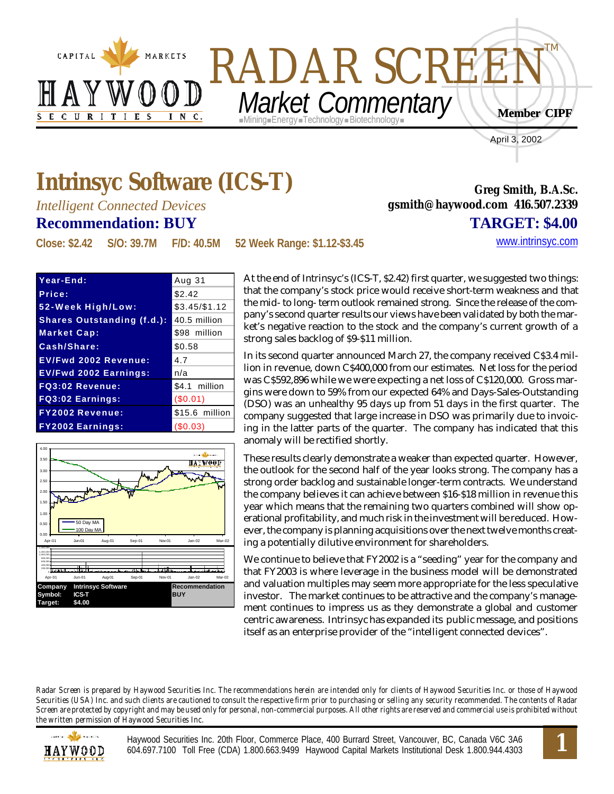



April 3, 2002

**Greg Smith, B.A.Sc.**

**gsmith@haywood.com 416.507.2339**

## **Intrinsyc Software (ICS-T)**

*Intelligent Connected Devices*

## **Recommendation: BUY TARGET: \$4.00**

**Close: \$2.42 S/O: 39.7M F/D: 40.5M 52 Week Range: \$1.12-\$3.45** <www.intrinsyc.com>

| Year-End:                         | Aug 31         |
|-----------------------------------|----------------|
| Price:                            | \$2.42         |
| 52-Week High/Low:                 | $$3.45/\$1.12$ |
| <b>Shares Outstanding (f.d.):</b> | 40.5 million   |
| <b>Market Cap:</b>                | \$98 million   |
| Cash/Share:                       | \$0.58         |
| <b>EV/Fwd 2002 Revenue:</b>       | 4.7            |
| <b>EV/Fwd 2002 Earnings:</b>      | n/a            |
| <b>FQ3:02 Revenue:</b>            | \$4.1 million  |
| <b>FQ3:02 Earnings:</b>           | (S0.01)        |
| <b>FY2002 Revenue:</b>            | \$15.6 million |
| <b>FY2002 Earnings:</b>           | (S0.03)        |



At the end of Intrinsyc's (ICS-T, \$2.42) first quarter, we suggested two things: that the company's stock price would receive short-term weakness and that the mid- to long- term outlook remained strong. Since the release of the company's second quarter results our views have been validated by both the market's negative reaction to the stock and the company's current growth of a strong sales backlog of \$9-\$11 million.

In its second quarter announced March 27, the company received C\$3.4 million in revenue, down C\$400,000 from our estimates. Net loss for the period was C\$592,896 while we were expecting a net loss of C\$120,000. Gross margins were down to 59% from our expected 64% and Days-Sales-Outstanding (DSO) was an unhealthy 95 days up from 51 days in the first quarter. The company suggested that large increase in DSO was primarily due to invoicing in the latter parts of the quarter. The company has indicated that this anomaly will be rectified shortly.

These results clearly demonstrate a weaker than expected quarter. However, the outlook for the second half of the year looks strong. The company has a strong order backlog and sustainable longer-term contracts. We understand the company believes it can achieve between \$16-\$18 million in revenue this year which means that the remaining two quarters combined will show operational profitability, and much risk in the investment will be reduced. However, the company is planning acquisitions over the next twelve months creating a potentially dilutive environment for shareholders.

We continue to believe that FY2002 is a "seeding" year for the company and that FY2003 is where leverage in the business model will be demonstrated and valuation multiples may seem more appropriate for the less speculative investor. The market continues to be attractive and the company's management continues to impress us as they demonstrate a global and customer centric awareness. Intrinsyc has expanded its public message, and positions itself as an enterprise provider of the "intelligent connected devices".

*Radar Screen is prepared by Haywood Securities Inc. The recommendations herein are intended only for clients of Haywood Securities Inc. or those of Haywood Securities (USA) Inc. and such clients are cautioned to consult the respective firm prior to purchasing or selling any security recommended. The contents of Radar Screen are protected by copyright and may be used only for personal, non-commercial purposes. All other rights are reserved and commercial use is prohibited without the written permission of Haywood Securities Inc.*